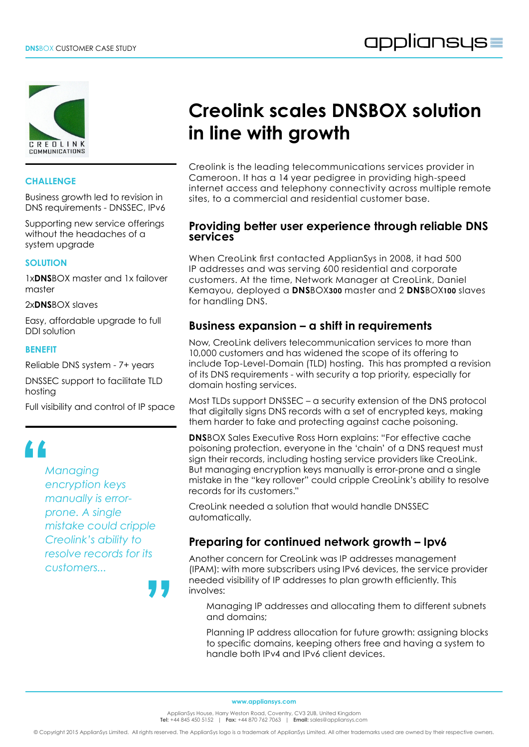

#### **CHALLENGE**

Business growth led to revision in DNS requirements - DNSSEC, IPv6

Supporting new service offerings without the headaches of a system upgrade

#### **SOLUTION**

1x**DNS**BOX master and 1x failover master

2x**DNS**BOX slaves

Easy, affordable upgrade to full DDI solution

#### **BENEFIT**

Reliable DNS system - 7+ years

DNSSEC support to facilitate TLD hosting

Full visibility and control of IP space

# $\frac{1}{\lambda}$

*Managing encryption keys manually is errorprone. A single mistake could cripple Creolink's ability to resolve records for its customers...*

**"**

# **Creolink scales DNSBOX solution in line with growth**

Creolink is the leading telecommunications services provider in Cameroon. It has a 14 year pedigree in providing high-speed internet access and telephony connectivity across multiple remote sites, to a commercial and residential customer base.

#### **Providing better user experience through reliable DNS services**

When CreoLink first contacted ApplianSys in 2008, it had 500 IP addresses and was serving 600 residential and corporate customers. At the time, Network Manager at CreoLink, Daniel Kemayou, deployed a **DNS**BOX**300** master and 2 **DNS**BOX**100** slaves for handling DNS.

### **Business expansion – a shift in requirements**

Now, CreoLink delivers telecommunication services to more than 10,000 customers and has widened the scope of its offering to include Top-Level-Domain (TLD) hosting. This has prompted a revision of its DNS requirements - with security a top priority, especially for domain hosting services.

Most TLDs support DNSSEC – a security extension of the DNS protocol that digitally signs DNS records with a set of encrypted keys, making them harder to fake and protecting against cache poisoning.

**DNS**BOX Sales Executive Ross Horn explains: "For effective cache poisoning protection, everyone in the 'chain' of a DNS request must sign their records, including hosting service providers like CreoLink. But managing encryption keys manually is error-prone and a single mistake in the "key rollover" could cripple CreoLink's ability to resolve records for its customers."

CreoLink needed a solution that would handle DNSSEC automatically.

### **Preparing for continued network growth – Ipv6**

Another concern for CreoLink was IP addresses management (IPAM): with more subscribers using IPv6 devices, the service provider needed visibility of IP addresses to plan growth efficiently. This involves:

Managing IP addresses and allocating them to different subnets and domains;

Planning IP address allocation for future growth: assigning blocks to specific domains, keeping others free and having a system to handle both IPv4 and IPv6 client devices.

**www.appliansys.com**

ApplianSys House, Harry Weston Road, Coventry, CV3 2UB, United Kingdom **Tel:** +44 845 450 5152 | **Fax:** +44 870 762 7063 | **Email:** sales@appliansys.com